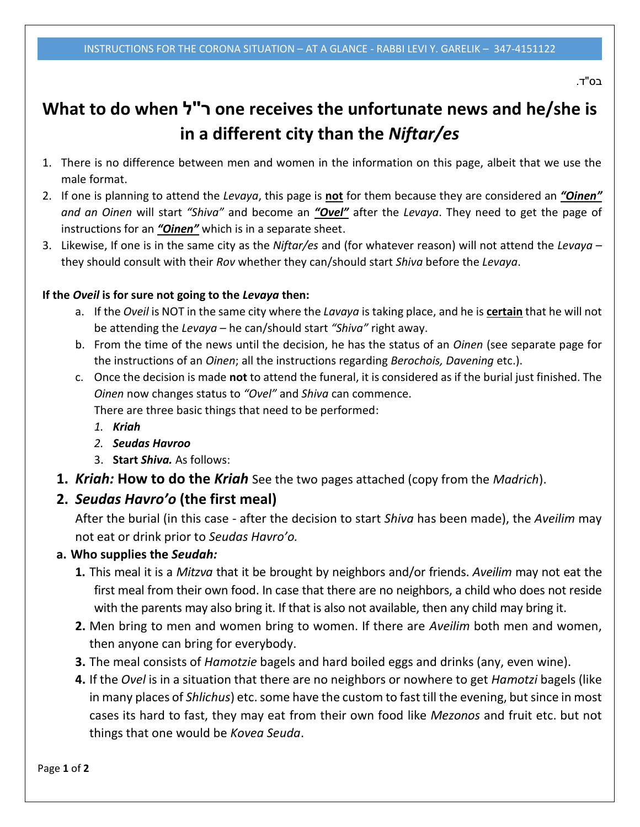בס"ד.

# **What to do when ל"ר one receives the unfortunate news and he/she is in a different city than the** *Niftar/es*

- 1. There is no difference between men and women in the information on this page, albeit that we use the male format.
- 2. If one is planning to attend the *Levaya*, this page is **not** for them because they are considered an *"Oinen" and an Oinen* will start *"Shiva"* and become an *"Ovel"* after the *Levaya*. They need to get the page of instructions for an *"Oinen"* which is in a separate sheet.
- 3. Likewise, If one is in the same city as the *Niftar/es* and (for whatever reason) will not attend the *Levaya* they should consult with their *Rov* whether they can/should start *Shiva* before the *Levaya*.

#### **If the** *Oveil* **is for sure not going to the** *Levaya* **then:**

- a. If the *Oveil* is NOT in the same city where the *Lavaya* is taking place, and he is **certain** that he will not be attending the *Levaya* – he can/should start *"Shiva"* right away.
- b. From the time of the news until the decision, he has the status of an *Oinen* (see separate page for the instructions of an *Oinen*; all the instructions regarding *Berochois, Davening* etc.).
- c. Once the decision is made **not** to attend the funeral, it is considered as if the burial just finished. The *Oinen* now changes status to *"Ovel"* and *Shiva* can commence. There are three basic things that need to be performed:
	- *1. Kriah*
	- *2. Seudas Havroo*
	- 3. **Start** *Shiva.* As follows:
- **1.** *Kriah:* **How to do the** *Kriah* See the two pages attached (copy from the *Madrich*).

## **2.** *Seudas Havro'o* **(the first meal)**

After the burial (in this case - after the decision to start *Shiva* has been made), the *Aveilim* may not eat or drink prior to *Seudas Havro'o.*

### **a. Who supplies the** *Seudah:*

- **1.** This meal it is a *Mitzva* that it be brought by neighbors and/or friends. *Aveilim* may not eat the first meal from their own food. In case that there are no neighbors, a child who does not reside with the parents may also bring it. If that is also not available, then any child may bring it.
- **2.** Men bring to men and women bring to women. If there are *Aveilim* both men and women, then anyone can bring for everybody.
- **3.** The meal consists of *Hamotzie* bagels and hard boiled eggs and drinks (any, even wine).
- **4.** If the *Ovel* is in a situation that there are no neighbors or nowhere to get *Hamotzi* bagels (like in many places of *Shlichus*) etc. some have the custom to fast till the evening, but since in most cases its hard to fast, they may eat from their own food like *Mezonos* and fruit etc. but not things that one would be *Kovea Seuda*.